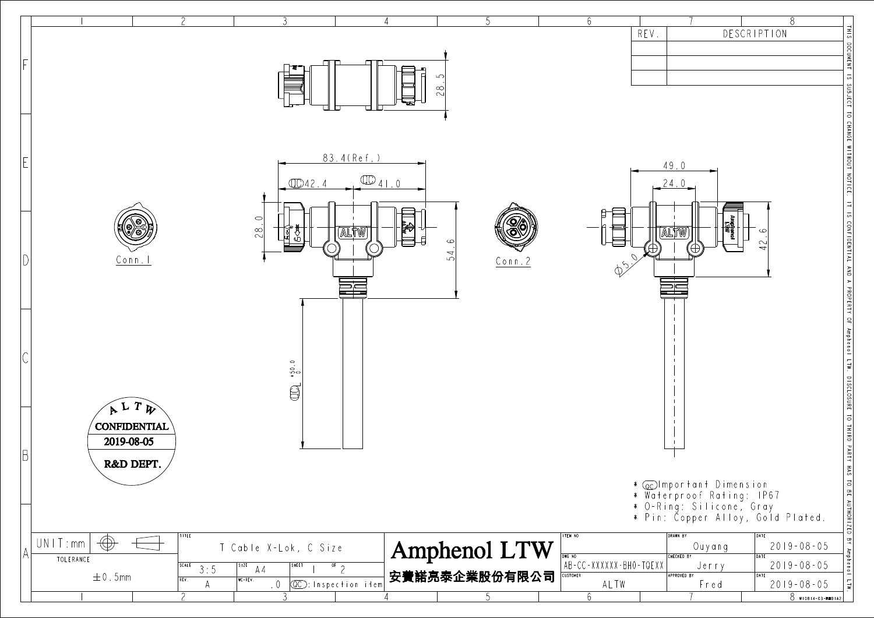